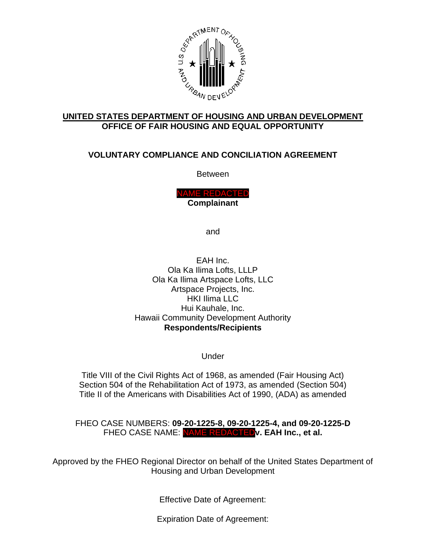

#### **UNITED STATES DEPARTMENT OF HOUSING AND URBAN DEVELOPMENT OFFICE OF FAIR HOUSING AND EQUAL OPPORTUNITY**

# **VOLUNTARY COMPLIANCE AND CONCILIATION AGREEMENT**

Between

NAME REDACTED **Complainant**

and

EAH Inc. Ola Ka Ilima Lofts, LLLP Ola Ka Ilima Artspace Lofts, LLC Artspace Projects, Inc. HKI Ilima LLC Hui Kauhale, Inc. Hawaii Community Development Authority **Respondents/Recipients**

Under

Title VIII of the Civil Rights Act of 1968, as amended (Fair Housing Act) Section 504 of the Rehabilitation Act of 1973, as amended (Section 504) Title II of the Americans with Disabilities Act of 1990, (ADA) as amended

FHEO CASE NUMBERS: **09-20-1225-8, 09-20-1225-4, and 09-20-1225-D** FHEO CASE NAME: NAME REDACTED**v. EAH Inc., et al.**

Approved by the FHEO Regional Director on behalf of the United States Department of Housing and Urban Development

Effective Date of Agreement:

Expiration Date of Agreement: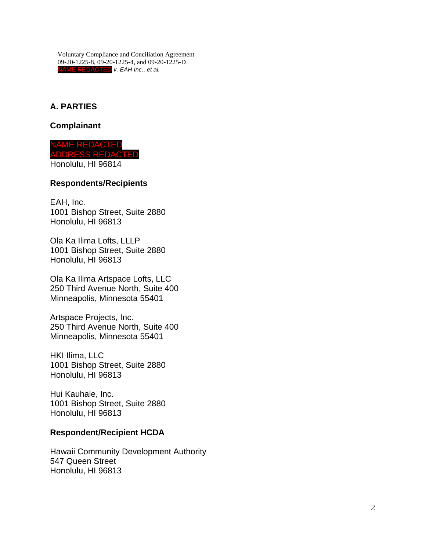**A . P A RTIES**

**Complainant**

**ME REDACTED** ADDRESS REDACTED Honolulu, HI 96814

#### **Respondents /Recipients**

EAH, Inc. 1001 Bishop Street, Suite 2880 Honolulu, HI 96813

Ola Ka Ilima Lofts, LLLP 1001 Bishop Street, Suite 2880 Honolulu, HI 96813

Ola Ka Ilima Artspace Lofts, LLC 250 Third Avenue North, Suite 400 Minneapolis, Minnesota 55401

Artspace Projects, Inc. 250 Third Avenue North, Suite 400 Minneapolis, Minnesota 55401

HKI Ilima , LLC 1001 Bishop Street, Suite 2880 Honolulu, HI 96813

Hui Kauhale, Inc. 1001 Bishop Street, Suite 2880 Honolulu, HI 96813

### **Respondent/Recipient HCDA**

Hawaii Community Development Authority 547 Queen Street Honolulu, HI 96813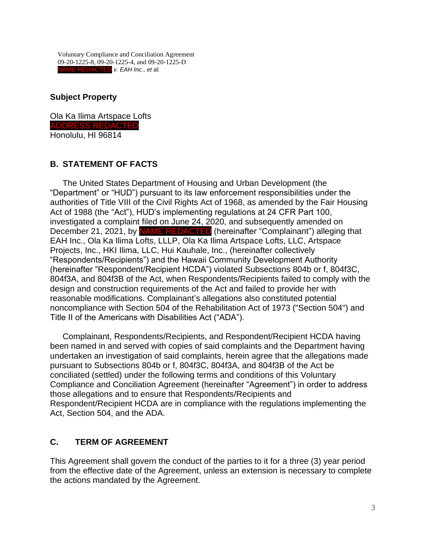**Subject Property**

Ola Ka Ilima Artspace Lofts ADDRESS REDACTED Honolulu, HI 96814

### **B. STATEMENT OF FACTS**

The United States Department of Housing and Urban Development (the "Department" or "HUD") pursuant to its law enforcement responsibilities under the authorities of Title VIII of the Civil Rights Act of 1968, as amended by the Fair Housing Act of 1988 (the "Act"), HUD's implementing regulations at 24 CFR Part 100, investigated a complaint filed on June 24, 2020, and subsequently amended on December 21, 2021, by NAME REDACTED (hereinafter "Complainant") alleging that EAH Inc., Ola Ka Ilima Lofts, LLLP, Ola Ka Ilima Artspace Lofts, LLC, Artspace Projects, Inc., HKI Ilima, LLC, Hui Kauhale, Inc., (hereinafter collectively "Respondents/Recipients") and the Hawaii Community Development Authority (hereinafter "Respondent/Recipient HCDA") violated Subsections 804b or f, 804f3C, 804f3A, and 804f3B of the Act, when Respondents/Recipients failed to comply with the design and construction requirements of the Act and failed to provide her with reasonable modifications. Complainant's allegations also constituted potential noncompliance with Section 504 of the Rehabilitation Act of 1973 ("Section 504") and Title II of the Americans with Disabilities Act ("ADA").

Complainant, Respondents/Recipients, and Respondent/Recipient HCDA having been named in and served with copies of said complaints and the Department having undertaken an investigation of said complaints, herein agree that the allegations made pursuant to Subsections 804b or f, 804f3C, 804f3A, and 804f3B of the Act be conciliated (settled) under the following terms and conditions of this Voluntary Compliance and Conciliation Agreement (hereinafter "Agreement") in order to address those allegations and to ensure that Respondents/Recipients and Respondent/Recipient HCDA are in compliance with the regulations implementing the Act, Section 504, and the ADA.

### **C. TERM OF AGREEMENT**

This Agreement shall govern the conduct of the parties to it for a three (3) year period from the effective date of the Agreement, unless an extension is necessary to complete the actions mandated by the Agreement.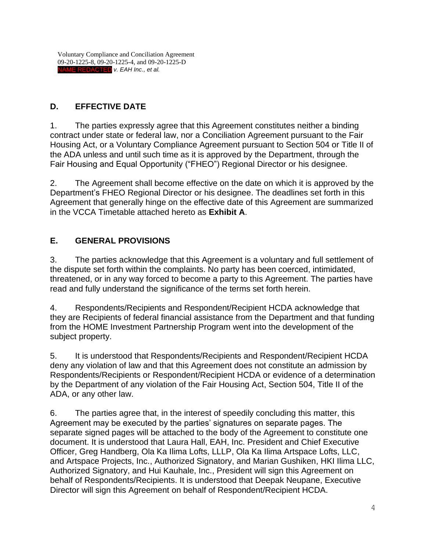# **D. EFFECTIVE DATE**

1. The parties expressly agree that this Agreement constitutes neither a binding contract under state or federal law, nor a Conciliation Agreement pursuant to the Fair Housing Act, or a Voluntary Compliance Agreement pursuant to Section 504 or Title II of the ADA unless and until such time as it is approved by the Department, through the Fair Housing and Equal Opportunity ("FHEO") Regional Director or his designee.

2. The Agreement shall become effective on the date on which it is approved by the Department's FHEO Regional Director or his designee. The deadlines set forth in this Agreement that generally hinge on the effective date of this Agreement are summarized in the VCCA Timetable attached hereto as **Exhibit A**.

## **E. GENERAL PROVISIONS**

3. The parties acknowledge that this Agreement is a voluntary and full settlement of the dispute set forth within the complaints. No party has been coerced, intimidated, threatened, or in any way forced to become a party to this Agreement. The parties have read and fully understand the significance of the terms set forth herein.

4. Respondents/Recipients and Respondent/Recipient HCDA acknowledge that they are Recipients of federal financial assistance from the Department and that funding from the HOME Investment Partnership Program went into the development of the subject property.

5. It is understood that Respondents/Recipients and Respondent/Recipient HCDA deny any violation of law and that this Agreement does not constitute an admission by Respondents/Recipients or Respondent/Recipient HCDA or evidence of a determination by the Department of any violation of the Fair Housing Act, Section 504, Title II of the ADA, or any other law.

6. The parties agree that, in the interest of speedily concluding this matter, this Agreement may be executed by the parties' signatures on separate pages. The separate signed pages will be attached to the body of the Agreement to constitute one document. It is understood that Laura Hall, EAH, Inc. President and Chief Executive Officer, Greg Handberg, Ola Ka Ilima Lofts, LLLP, Ola Ka Ilima Artspace Lofts, LLC, and Artspace Projects, Inc., Authorized Signatory, and Marian Gushiken, HKI Ilima LLC, Authorized Signatory, and Hui Kauhale, Inc., President will sign this Agreement on behalf of Respondents/Recipients. It is understood that Deepak Neupane, Executive Director will sign this Agreement on behalf of Respondent/Recipient HCDA.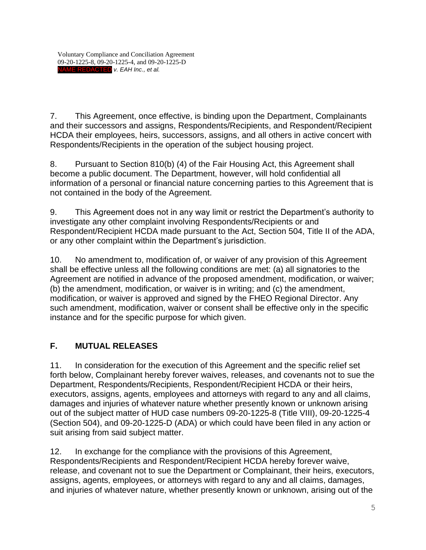7. This Agreement, once effective, is binding upon the Department, Complainants and their successors and assigns, Respondents/Recipients, and Respondent/Recipient HCDA their employees, heirs, successors, assigns, and all others in active concert with Respondents/Recipients in the operation of the subject housing project.

8. Pursuant to Section 810(b) (4) of the Fair Housing Act, this Agreement shall become a public document. The Department, however, will hold confidential all information of a personal or financial nature concerning parties to this Agreement that is not contained in the body of the Agreement.

9. This Agreement does not in any way limit or restrict the Department's authority to investigate any other complaint involving Respondents/Recipients or and Respondent/Recipient HCDA made pursuant to the Act, Section 504, Title II of the ADA, or any other complaint within the Department's jurisdiction.

10. No amendment to, modification of, or waiver of any provision of this Agreement shall be effective unless all the following conditions are met: (a) all signatories to the Agreement are notified in advance of the proposed amendment, modification, or waiver; (b) the amendment, modification, or waiver is in writing; and (c) the amendment, modification, or waiver is approved and signed by the FHEO Regional Director. Any such amendment, modification, waiver or consent shall be effective only in the specific instance and for the specific purpose for which given.

## **F. MUTUAL RELEASES**

11. In consideration for the execution of this Agreement and the specific relief set forth below, Complainant hereby forever waives, releases, and covenants not to sue the Department, Respondents/Recipients, Respondent/Recipient HCDA or their heirs, executors, assigns, agents, employees and attorneys with regard to any and all claims, damages and injuries of whatever nature whether presently known or unknown arising out of the subject matter of HUD case numbers 09-20-1225-8 (Title VIII), 09-20-1225-4 (Section 504), and 09-20-1225-D (ADA) or which could have been filed in any action or suit arising from said subject matter.

12. In exchange for the compliance with the provisions of this Agreement, Respondents/Recipients and Respondent/Recipient HCDA hereby forever waive, release, and covenant not to sue the Department or Complainant, their heirs, executors, assigns, agents, employees, or attorneys with regard to any and all claims, damages, and injuries of whatever nature, whether presently known or unknown, arising out of the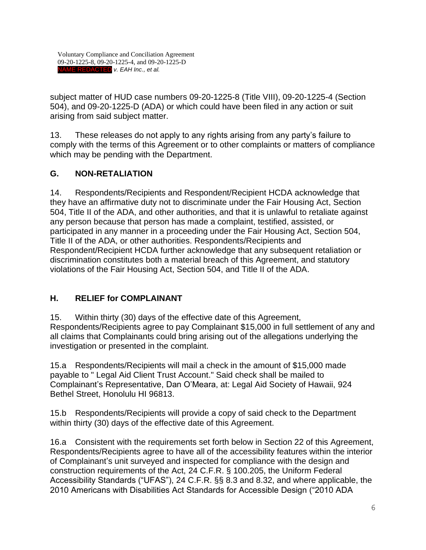subject matter of HUD case numbers 09-20-1225-8 (Title VIII), 09-20-1225-4 (Section 504), and 09-20-1225-D (ADA) or which could have been filed in any action or suit arising from said subject matter.

13. These releases do not apply to any rights arising from any party's failure to comply with the terms of this Agreement or to other complaints or matters of compliance which may be pending with the Department.

## **G. NON-RETALIATION**

14. Respondents/Recipients and Respondent/Recipient HCDA acknowledge that they have an affirmative duty not to discriminate under the Fair Housing Act, Section 504, Title II of the ADA, and other authorities, and that it is unlawful to retaliate against any person because that person has made a complaint, testified, assisted, or participated in any manner in a proceeding under the Fair Housing Act, Section 504, Title II of the ADA, or other authorities. Respondents/Recipients and Respondent/Recipient HCDA further acknowledge that any subsequent retaliation or discrimination constitutes both a material breach of this Agreement, and statutory violations of the Fair Housing Act, Section 504, and Title II of the ADA.

## **H. RELIEF for COMPLAINANT**

15. Within thirty (30) days of the effective date of this Agreement, Respondents/Recipients agree to pay Complainant \$15,000 in full settlement of any and all claims that Complainants could bring arising out of the allegations underlying the investigation or presented in the complaint.

15.a Respondents/Recipients will mail a check in the amount of \$15,000 made payable to " Legal Aid Client Trust Account." Said check shall be mailed to Complainant's Representative, Dan O'Meara, at: Legal Aid Society of Hawaii, 924 Bethel Street, Honolulu HI 96813.

15.b Respondents/Recipients will provide a copy of said check to the Department within thirty (30) days of the effective date of this Agreement.

16.a Consistent with the requirements set forth below in Section 22 of this Agreement, Respondents/Recipients agree to have all of the accessibility features within the interior of Complainant's unit surveyed and inspected for compliance with the design and construction requirements of the Act, 24 C.F.R. § 100.205, the Uniform Federal Accessibility Standards ("UFAS"), 24 C.F.R. §§ 8.3 and 8.32, and where applicable, the 2010 Americans with Disabilities Act Standards for Accessible Design ("2010 ADA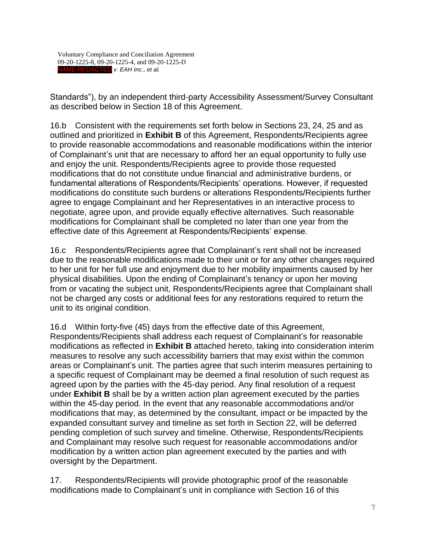Standards"), by an independent third-party Accessibility Assessment/Survey Consultant as described below in Section 18 of this Agreement.

16.b Consistent with the requirements set forth below in Sections 23, 24, 25 and as outlined and prioritized in **Exhibit B** of this Agreement, Respondents/Recipients agree to provide reasonable accommodations and reasonable modifications within the interior of Complainant's unit that are necessary to afford her an equal opportunity to fully use and enjoy the unit. Respondents/Recipients agree to provide those requested modifications that do not constitute undue financial and administrative burdens, or fundamental alterations of Respondents/Recipients' operations. However, if requested modifications do constitute such burdens or alterations Respondents/Recipients further agree to engage Complainant and her Representatives in an interactive process to negotiate, agree upon, and provide equally effective alternatives. Such reasonable modifications for Complainant shall be completed no later than one year from the effective date of this Agreement at Respondents/Recipients' expense.

16.c Respondents/Recipients agree that Complainant's rent shall not be increased due to the reasonable modifications made to their unit or for any other changes required to her unit for her full use and enjoyment due to her mobility impairments caused by her physical disabilities. Upon the ending of Complainant's tenancy or upon her moving from or vacating the subject unit, Respondents/Recipients agree that Complainant shall not be charged any costs or additional fees for any restorations required to return the unit to its original condition.

16.d Within forty-five (45) days from the effective date of this Agreement, Respondents/Recipients shall address each request of Complainant's for reasonable modifications as reflected in **Exhibit B** attached hereto, taking into consideration interim measures to resolve any such accessibility barriers that may exist within the common areas or Complainant's unit. The parties agree that such interim measures pertaining to a specific request of Complainant may be deemed a final resolution of such request as agreed upon by the parties with the 45-day period. Any final resolution of a request under **Exhibit B** shall be by a written action plan agreement executed by the parties within the 45-day period. In the event that any reasonable accommodations and/or modifications that may, as determined by the consultant, impact or be impacted by the expanded consultant survey and timeline as set forth in Section 22, will be deferred pending completion of such survey and timeline. Otherwise, Respondents/Recipients and Complainant may resolve such request for reasonable accommodations and/or modification by a written action plan agreement executed by the parties and with oversight by the Department.

17. Respondents/Recipients will provide photographic proof of the reasonable modifications made to Complainant's unit in compliance with Section 16 of this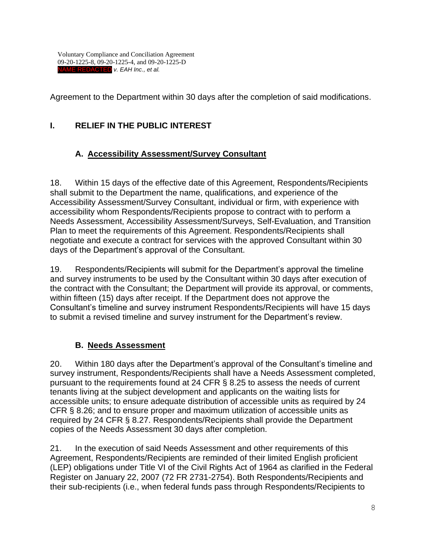Agreement to the Department within 30 days after the completion of said modifications.

# **I. RELIEF IN THE PUBLIC INTEREST**

## **A. Accessibility Assessment/Survey Consultant**

18. Within 15 days of the effective date of this Agreement, Respondents/Recipients shall submit to the Department the name, qualifications, and experience of the Accessibility Assessment/Survey Consultant, individual or firm, with experience with accessibility whom Respondents/Recipients propose to contract with to perform a Needs Assessment, Accessibility Assessment/Surveys, Self-Evaluation, and Transition Plan to meet the requirements of this Agreement. Respondents/Recipients shall negotiate and execute a contract for services with the approved Consultant within 30 days of the Department's approval of the Consultant.

19. Respondents/Recipients will submit for the Department's approval the timeline and survey instruments to be used by the Consultant within 30 days after execution of the contract with the Consultant; the Department will provide its approval, or comments, within fifteen (15) days after receipt. If the Department does not approve the Consultant's timeline and survey instrument Respondents/Recipients will have 15 days to submit a revised timeline and survey instrument for the Department's review.

## **B. Needs Assessment**

20. Within 180 days after the Department's approval of the Consultant's timeline and survey instrument, Respondents/Recipients shall have a Needs Assessment completed, pursuant to the requirements found at 24 CFR § 8.25 to assess the needs of current tenants living at the subject development and applicants on the waiting lists for accessible units; to ensure adequate distribution of accessible units as required by 24 CFR § 8.26; and to ensure proper and maximum utilization of accessible units as required by 24 CFR § 8.27. Respondents/Recipients shall provide the Department copies of the Needs Assessment 30 days after completion.

21. In the execution of said Needs Assessment and other requirements of this Agreement, Respondents/Recipients are reminded of their limited English proficient (LEP) obligations under Title VI of the Civil Rights Act of 1964 as clarified in the Federal Register on January 22, 2007 (72 FR 2731-2754). Both Respondents/Recipients and their sub-recipients (i.e., when federal funds pass through Respondents/Recipients to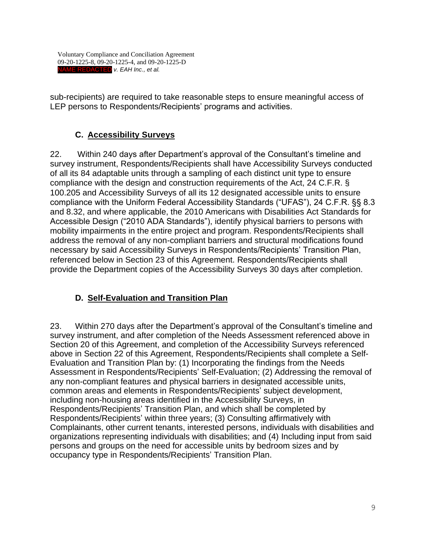sub-recipients) are required to take reasonable steps to ensure meaningful access of LEP persons to Respondents/Recipients' programs and activities.

### **C. Accessibility Surveys**

22. Within 240 days after Department's approval of the Consultant's timeline and survey instrument, Respondents/Recipients shall have Accessibility Surveys conducted of all its 84 adaptable units through a sampling of each distinct unit type to ensure compliance with the design and construction requirements of the Act, 24 C.F.R. § 100.205 and Accessibility Surveys of all its 12 designated accessible units to ensure compliance with the Uniform Federal Accessibility Standards ("UFAS"), 24 C.F.R. §§ 8.3 and 8.32, and where applicable, the 2010 Americans with Disabilities Act Standards for Accessible Design ("2010 ADA Standards"), identify physical barriers to persons with mobility impairments in the entire project and program. Respondents/Recipients shall address the removal of any non-compliant barriers and structural modifications found necessary by said Accessibility Surveys in Respondents/Recipients' Transition Plan, referenced below in Section 23 of this Agreement. Respondents/Recipients shall provide the Department copies of the Accessibility Surveys 30 days after completion.

## **D. Self-Evaluation and Transition Plan**

23. Within 270 days after the Department's approval of the Consultant's timeline and survey instrument, and after completion of the Needs Assessment referenced above in Section 20 of this Agreement, and completion of the Accessibility Surveys referenced above in Section 22 of this Agreement, Respondents/Recipients shall complete a Self-Evaluation and Transition Plan by: (1) Incorporating the findings from the Needs Assessment in Respondents/Recipients' Self-Evaluation; (2) Addressing the removal of any non-compliant features and physical barriers in designated accessible units, common areas and elements in Respondents/Recipients' subject development, including non-housing areas identified in the Accessibility Surveys, in Respondents/Recipients' Transition Plan, and which shall be completed by Respondents/Recipients' within three years; (3) Consulting affirmatively with Complainants, other current tenants, interested persons, individuals with disabilities and organizations representing individuals with disabilities; and (4) Including input from said persons and groups on the need for accessible units by bedroom sizes and by occupancy type in Respondents/Recipients' Transition Plan.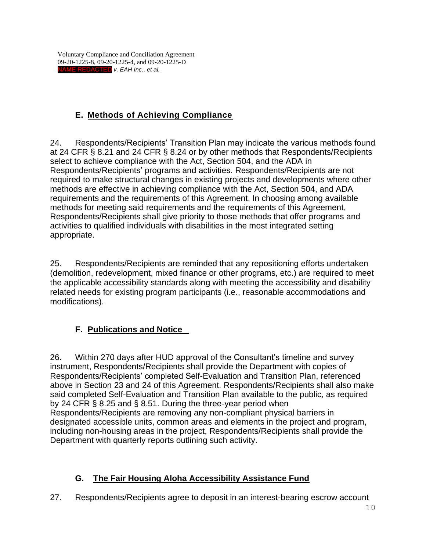# **E. Methods of Achieving Compliance**

24. Respondents/Recipients' Transition Plan may indicate the various methods found at 24 CFR § 8.21 and 24 CFR § 8.24 or by other methods that Respondents/Recipients select to achieve compliance with the Act, Section 504, and the ADA in Respondents/Recipients' programs and activities. Respondents/Recipients are not required to make structural changes in existing projects and developments where other methods are effective in achieving compliance with the Act, Section 504, and ADA requirements and the requirements of this Agreement. In choosing among available methods for meeting said requirements and the requirements of this Agreement, Respondents/Recipients shall give priority to those methods that offer programs and activities to qualified individuals with disabilities in the most integrated setting appropriate.

25. Respondents/Recipients are reminded that any repositioning efforts undertaken (demolition, redevelopment, mixed finance or other programs, etc.) are required to meet the applicable accessibility standards along with meeting the accessibility and disability related needs for existing program participants (i.e., reasonable accommodations and modifications).

# **F. Publications and Notice**

26. Within 270 days after HUD approval of the Consultant's timeline and survey instrument, Respondents/Recipients shall provide the Department with copies of Respondents/Recipients' completed Self-Evaluation and Transition Plan, referenced above in Section 23 and 24 of this Agreement. Respondents/Recipients shall also make said completed Self-Evaluation and Transition Plan available to the public, as required by 24 CFR § 8.25 and § 8.51. During the three-year period when Respondents/Recipients are removing any non-compliant physical barriers in designated accessible units, common areas and elements in the project and program, including non-housing areas in the project, Respondents/Recipients shall provide the Department with quarterly reports outlining such activity.

## **G. The Fair Housing Aloha Accessibility Assistance Fund**

27. Respondents/Recipients agree to deposit in an interest-bearing escrow account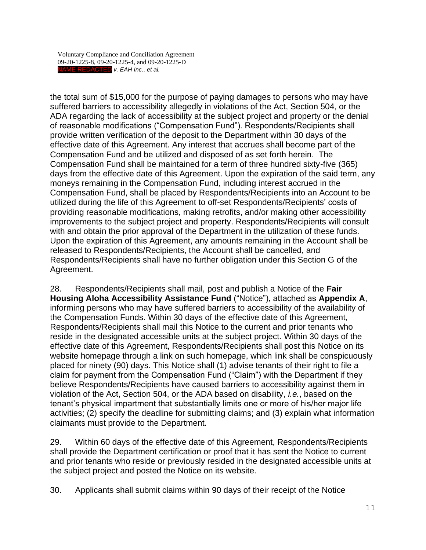the total sum of \$15,000 for the purpose of paying damages to persons who may have suffered barriers to accessibility allegedly in violations of the Act, Section 504, or the ADA regarding the lack of accessibility at the subject project and property or the denial of reasonable modifications ("Compensation Fund"). Respondents/Recipients shall provide written verification of the deposit to the Department within 30 days of the effective date of this Agreement. Any interest that accrues shall become part of the Compensation Fund and be utilized and disposed of as set forth herein. The Compensation Fund shall be maintained for a term of three hundred sixty-five (365) days from the effective date of this Agreement. Upon the expiration of the said term, any moneys remaining in the Compensation Fund, including interest accrued in the Compensation Fund, shall be placed by Respondents/Recipients into an Account to be utilized during the life of this Agreement to off-set Respondents/Recipients' costs of providing reasonable modifications, making retrofits, and/or making other accessibility improvements to the subject project and property. Respondents/Recipients will consult with and obtain the prior approval of the Department in the utilization of these funds. Upon the expiration of this Agreement, any amounts remaining in the Account shall be released to Respondents/Recipients, the Account shall be cancelled, and Respondents/Recipients shall have no further obligation under this Section G of the Agreement.

28. Respondents/Recipients shall mail, post and publish a Notice of the **Fair Housing Aloha Accessibility Assistance Fund** ("Notice"), attached as **Appendix A**, informing persons who may have suffered barriers to accessibility of the availability of the Compensation Funds. Within 30 days of the effective date of this Agreement, Respondents/Recipients shall mail this Notice to the current and prior tenants who reside in the designated accessible units at the subject project. Within 30 days of the effective date of this Agreement, Respondents/Recipients shall post this Notice on its website homepage through a link on such homepage, which link shall be conspicuously placed for ninety (90) days. This Notice shall (1) advise tenants of their right to file a claim for payment from the Compensation Fund ("Claim") with the Department if they believe Respondents/Recipients have caused barriers to accessibility against them in violation of the Act, Section 504, or the ADA based on disability, *i.e.*, based on the tenant's physical impartment that substantially limits one or more of his/her major life activities; (2) specify the deadline for submitting claims; and (3) explain what information claimants must provide to the Department.

29. Within 60 days of the effective date of this Agreement, Respondents/Recipients shall provide the Department certification or proof that it has sent the Notice to current and prior tenants who reside or previously resided in the designated accessible units at the subject project and posted the Notice on its website.

30. Applicants shall submit claims within 90 days of their receipt of the Notice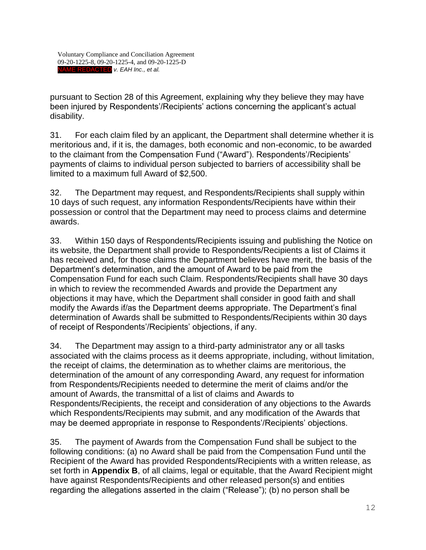pursuant to Section 28 of this Agreement, explaining why they believe they may have been injured by Respondents'/Recipients' actions concerning the applicant's actual disability.

31. For each claim filed by an applicant, the Department shall determine whether it is meritorious and, if it is, the damages, both economic and non-economic, to be awarded to the claimant from the Compensation Fund ("Award"). Respondents'/Recipients' payments of claims to individual person subjected to barriers of accessibility shall be limited to a maximum full Award of \$2,500.

32. The Department may request, and Respondents/Recipients shall supply within 10 days of such request, any information Respondents/Recipients have within their possession or control that the Department may need to process claims and determine awards.

33. Within 150 days of Respondents/Recipients issuing and publishing the Notice on its website, the Department shall provide to Respondents/Recipients a list of Claims it has received and, for those claims the Department believes have merit, the basis of the Department's determination, and the amount of Award to be paid from the Compensation Fund for each such Claim. Respondents/Recipients shall have 30 days in which to review the recommended Awards and provide the Department any objections it may have, which the Department shall consider in good faith and shall modify the Awards if/as the Department deems appropriate. The Department's final determination of Awards shall be submitted to Respondents/Recipients within 30 days of receipt of Respondents'/Recipients' objections, if any.

34. The Department may assign to a third-party administrator any or all tasks associated with the claims process as it deems appropriate, including, without limitation, the receipt of claims, the determination as to whether claims are meritorious, the determination of the amount of any corresponding Award, any request for information from Respondents/Recipients needed to determine the merit of claims and/or the amount of Awards, the transmittal of a list of claims and Awards to Respondents/Recipients, the receipt and consideration of any objections to the Awards which Respondents/Recipients may submit, and any modification of the Awards that may be deemed appropriate in response to Respondents'/Recipients' objections.

35. The payment of Awards from the Compensation Fund shall be subject to the following conditions: (a) no Award shall be paid from the Compensation Fund until the Recipient of the Award has provided Respondents/Recipients with a written release, as set forth in **Appendix B**, of all claims, legal or equitable, that the Award Recipient might have against Respondents/Recipients and other released person(s) and entities regarding the allegations asserted in the claim ("Release"); (b) no person shall be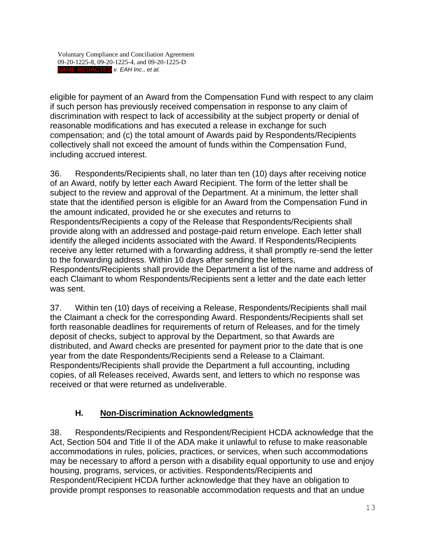eligible for payment of an Award from the Compensation Fund with respect to any claim if such person has previously received compensation in response to any claim of discrimination with respect to lack of accessibility at the subject property or denial of reasonable modifications and has executed a release in exchange for such compensation; and (c) the total amount of Awards paid by Respondents/Recipients collectively shall not exceed the amount of funds within the Compensation Fund, including accrued interest.

36. Respondents/Recipients shall, no later than ten (10) days after receiving notice of an Award, notify by letter each Award Recipient. The form of the letter shall be subject to the review and approval of the Department. At a minimum, the letter shall state that the identified person is eligible for an Award from the Compensation Fund in the amount indicated, provided he or she executes and returns to Respondents/Recipients a copy of the Release that Respondents/Recipients shall provide along with an addressed and postage-paid return envelope. Each letter shall identify the alleged incidents associated with the Award. If Respondents/Recipients receive any letter returned with a forwarding address, it shall promptly re-send the letter to the forwarding address. Within 10 days after sending the letters, Respondents/Recipients shall provide the Department a list of the name and address of each Claimant to whom Respondents/Recipients sent a letter and the date each letter was sent.

37. Within ten (10) days of receiving a Release, Respondents/Recipients shall mail the Claimant a check for the corresponding Award. Respondents/Recipients shall set forth reasonable deadlines for requirements of return of Releases, and for the timely deposit of checks, subject to approval by the Department, so that Awards are distributed, and Award checks are presented for payment prior to the date that is one year from the date Respondents/Recipients send a Release to a Claimant. Respondents/Recipients shall provide the Department a full accounting, including copies, of all Releases received, Awards sent, and letters to which no response was received or that were returned as undeliverable.

### **H. Non-Discrimination Acknowledgments**

38. Respondents/Recipients and Respondent/Recipient HCDA acknowledge that the Act, Section 504 and Title II of the ADA make it unlawful to refuse to make reasonable accommodations in rules, policies, practices, or services, when such accommodations may be necessary to afford a person with a disability equal opportunity to use and enjoy housing, programs, services, or activities. Respondents/Recipients and Respondent/Recipient HCDA further acknowledge that they have an obligation to provide prompt responses to reasonable accommodation requests and that an undue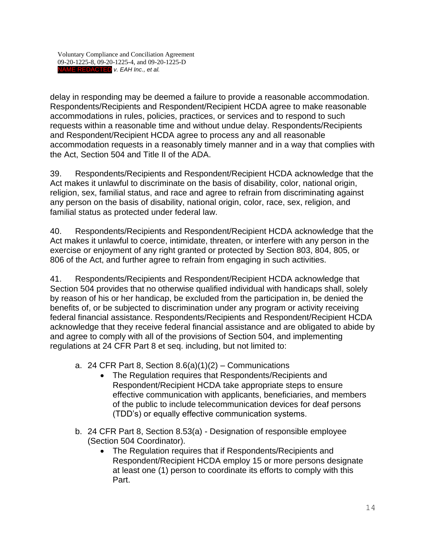delay in responding may be deemed a failure to provide a reasonable accommodation. Respondents/Recipients and Respondent/Recipient HCDA agree to make reasonable accommodations in rules, policies, practices, or services and to respond to such requests within a reasonable time and without undue delay. Respondents/Recipients and Respondent/Recipient HCDA agree to process any and all reasonable accommodation requests in a reasonably timely manner and in a way that complies with the Act, Section 504 and Title II of the ADA.

39. Respondents/Recipients and Respondent/Recipient HCDA acknowledge that the Act makes it unlawful to discriminate on the basis of disability, color, national origin, religion, sex, familial status, and race and agree to refrain from discriminating against any person on the basis of disability, national origin, color, race, sex, religion, and familial status as protected under federal law.

40. Respondents/Recipients and Respondent/Recipient HCDA acknowledge that the Act makes it unlawful to coerce, intimidate, threaten, or interfere with any person in the exercise or enjoyment of any right granted or protected by Section 803, 804, 805, or 806 of the Act, and further agree to refrain from engaging in such activities.

41. Respondents/Recipients and Respondent/Recipient HCDA acknowledge that Section 504 provides that no otherwise qualified individual with handicaps shall, solely by reason of his or her handicap, be excluded from the participation in, be denied the benefits of, or be subjected to discrimination under any program or activity receiving federal financial assistance. Respondents/Recipients and Respondent/Recipient HCDA acknowledge that they receive federal financial assistance and are obligated to abide by and agree to comply with all of the provisions of Section 504, and implementing regulations at 24 CFR Part 8 et seq. including, but not limited to:

- a. 24 CFR Part 8, Section  $8.6(a)(1)(2)$  Communications
	- The Regulation requires that Respondents/Recipients and Respondent/Recipient HCDA take appropriate steps to ensure effective communication with applicants, beneficiaries, and members of the public to include telecommunication devices for deaf persons (TDD's) or equally effective communication systems.
- b. 24 CFR Part 8, Section 8.53(a) Designation of responsible employee (Section 504 Coordinator).
	- The Regulation requires that if Respondents/Recipients and Respondent/Recipient HCDA employ 15 or more persons designate at least one (1) person to coordinate its efforts to comply with this Part.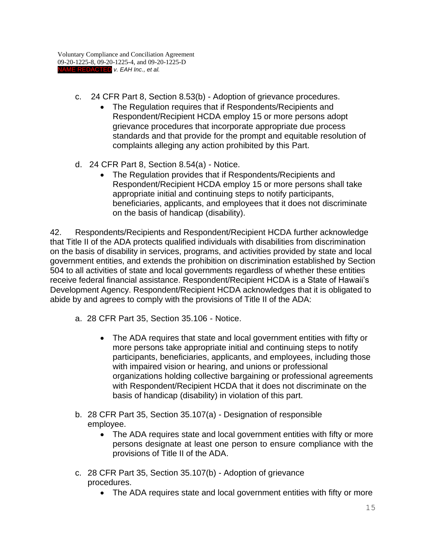- c. 24 CFR Part 8, Section 8.53(b) Adoption of grievance procedures.
	- The Regulation requires that if Respondents/Recipients and Respondent/Recipient HCDA employ 15 or more persons adopt grievance procedures that incorporate appropriate due process standards and that provide for the prompt and equitable resolution of complaints alleging any action prohibited by this Part.
- d. 24 CFR Part 8, Section 8.54(a) Notice.
	- The Regulation provides that if Respondents/Recipients and Respondent/Recipient HCDA employ 15 or more persons shall take appropriate initial and continuing steps to notify participants, beneficiaries, applicants, and employees that it does not discriminate on the basis of handicap (disability).

42. Respondents/Recipients and Respondent/Recipient HCDA further acknowledge that Title II of the ADA protects qualified individuals with disabilities from discrimination on the basis of disability in services, programs, and activities provided by state and local government entities, and extends the prohibition on discrimination established by Section 504 to all activities of state and local governments regardless of whether these entities receive federal financial assistance. Respondent/Recipient HCDA is a State of Hawaii's Development Agency. Respondent/Recipient HCDA acknowledges that it is obligated to abide by and agrees to comply with the provisions of Title II of the ADA:

- a. 28 CFR Part 35, Section 35.106 Notice.
	- The ADA requires that state and local government entities with fifty or more persons take appropriate initial and continuing steps to notify participants, beneficiaries, applicants, and employees, including those with impaired vision or hearing, and unions or professional organizations holding collective bargaining or professional agreements with Respondent/Recipient HCDA that it does not discriminate on the basis of handicap (disability) in violation of this part.
- b. 28 CFR Part 35, Section 35.107(a) Designation of responsible employee.
	- The ADA requires state and local government entities with fifty or more persons designate at least one person to ensure compliance with the provisions of Title II of the ADA.
- c. 28 CFR Part 35, Section 35.107(b) Adoption of grievance procedures.
	- The ADA requires state and local government entities with fifty or more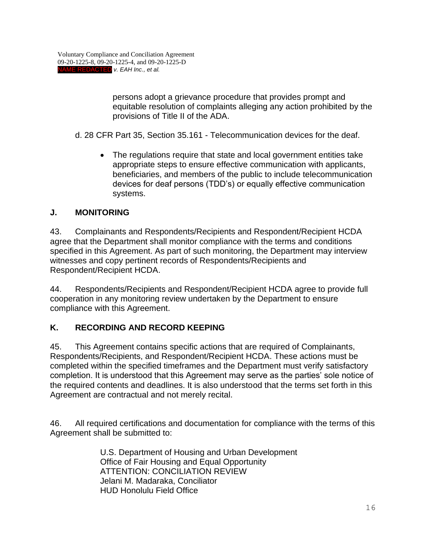persons adopt a grievance procedure that provides prompt and equitable resolution of complaints alleging any action prohibited by the provisions of Title II of the ADA.

d. 28 CFR Part 35, Section 35.161 - Telecommunication devices for the deaf.

• The regulations require that state and local government entities take appropriate steps to ensure effective communication with applicants, beneficiaries, and members of the public to include telecommunication devices for deaf persons (TDD's) or equally effective communication systems.

#### **J. MONITORING**

43. Complainants and Respondents/Recipients and Respondent/Recipient HCDA agree that the Department shall monitor compliance with the terms and conditions specified in this Agreement. As part of such monitoring, the Department may interview witnesses and copy pertinent records of Respondents/Recipients and Respondent/Recipient HCDA.

44. Respondents/Recipients and Respondent/Recipient HCDA agree to provide full cooperation in any monitoring review undertaken by the Department to ensure compliance with this Agreement.

### **K. RECORDING AND RECORD KEEPING**

45. This Agreement contains specific actions that are required of Complainants, Respondents/Recipients, and Respondent/Recipient HCDA. These actions must be completed within the specified timeframes and the Department must verify satisfactory completion. It is understood that this Agreement may serve as the parties' sole notice of the required contents and deadlines. It is also understood that the terms set forth in this Agreement are contractual and not merely recital.

46. All required certifications and documentation for compliance with the terms of this Agreement shall be submitted to:

> U.S. Department of Housing and Urban Development Office of Fair Housing and Equal Opportunity ATTENTION: CONCILIATION REVIEW Jelani M. Madaraka, Conciliator HUD Honolulu Field Office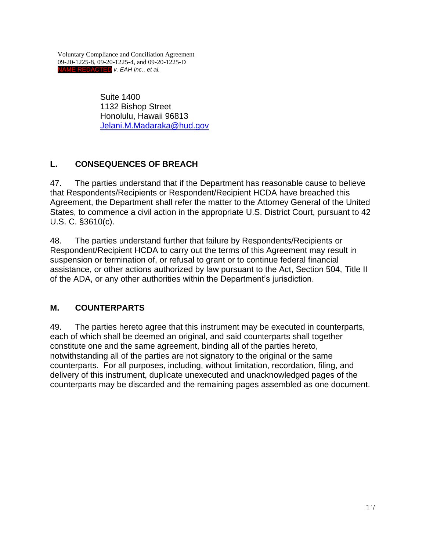> Suite 1400 1132 Bishop Street Honolulu, Hawaii 96813 [Jelani.M.Madaraka@hud.gov](mailto:Jelani.M.Madaraka@hud.gov)

# **L. CONSEQUENCES OF BREACH**

47. The parties understand that if the Department has reasonable cause to believe that Respondents/Recipients or Respondent/Recipient HCDA have breached this Agreement, the Department shall refer the matter to the Attorney General of the United States, to commence a civil action in the appropriate U.S. District Court, pursuant to 42 U.S. C. §3610(c).

48. The parties understand further that failure by Respondents/Recipients or Respondent/Recipient HCDA to carry out the terms of this Agreement may result in suspension or termination of, or refusal to grant or to continue federal financial assistance, or other actions authorized by law pursuant to the Act, Section 504, Title II of the ADA, or any other authorities within the Department's jurisdiction.

## **M. COUNTERPARTS**

49. The parties hereto agree that this instrument may be executed in counterparts, each of which shall be deemed an original, and said counterparts shall together constitute one and the same agreement, binding all of the parties hereto, notwithstanding all of the parties are not signatory to the original or the same counterparts. For all purposes, including, without limitation, recordation, filing, and delivery of this instrument, duplicate unexecuted and unacknowledged pages of the counterparts may be discarded and the remaining pages assembled as one document.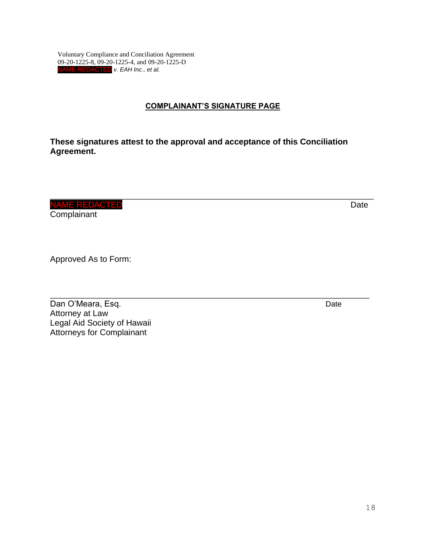#### **COMPLAINANT'S SIGNATURE PAGE**

\_\_\_\_\_\_\_\_\_\_\_\_\_\_\_\_\_\_\_\_\_\_\_\_\_\_\_\_\_\_\_\_\_\_\_\_\_\_\_\_\_\_\_\_\_\_\_\_\_\_\_\_\_\_\_\_\_\_\_\_\_\_\_\_\_\_\_\_\_\_\_\_\_\_\_\_

\_\_\_\_\_\_\_\_\_\_\_\_\_\_\_\_\_\_\_\_\_\_\_\_\_\_\_\_\_\_\_\_\_\_\_\_\_\_\_\_\_\_\_\_\_\_\_\_\_\_\_\_\_\_\_\_\_\_\_\_\_\_\_\_\_\_\_\_\_\_\_\_\_\_\_

**These signatures attest to the approval and acceptance of this Conciliation Agreement.** 

NAME REDACTED **Date Date Date Date Date** 

**Complainant** 

Approved As to Form:

Dan O'Meara, Esq. **Date** Attorney at Law Legal Aid Society of Hawaii Attorneys for Complainant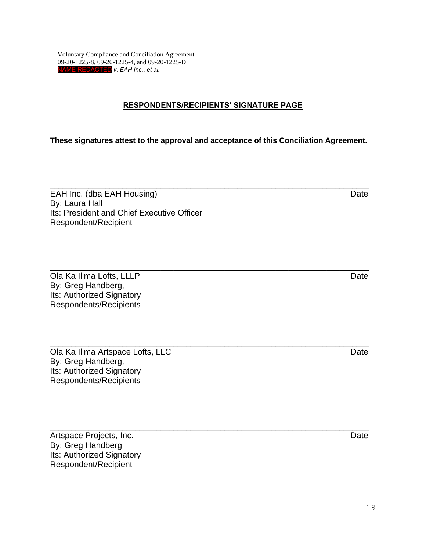#### **RESPONDENTS/RECIPIENTS' SIGNATURE PAGE**

**These signatures attest to the approval and acceptance of this Conciliation Agreement.** 

\_\_\_\_\_\_\_\_\_\_\_\_\_\_\_\_\_\_\_\_\_\_\_\_\_\_\_\_\_\_\_\_\_\_\_\_\_\_\_\_\_\_\_\_\_\_\_\_\_\_\_\_\_\_\_\_\_\_\_\_\_\_\_\_\_\_\_\_\_\_\_\_\_\_\_

\_\_\_\_\_\_\_\_\_\_\_\_\_\_\_\_\_\_\_\_\_\_\_\_\_\_\_\_\_\_\_\_\_\_\_\_\_\_\_\_\_\_\_\_\_\_\_\_\_\_\_\_\_\_\_\_\_\_\_\_\_\_\_\_\_\_\_\_\_\_\_\_\_\_\_

EAH Inc. (dba EAH Housing) Date By: Laura Hall Its: President and Chief Executive Officer Respondent/Recipient

\_\_\_\_\_\_\_\_\_\_\_\_\_\_\_\_\_\_\_\_\_\_\_\_\_\_\_\_\_\_\_\_\_\_\_\_\_\_\_\_\_\_\_\_\_\_\_\_\_\_\_\_\_\_\_\_\_\_\_\_\_\_\_\_\_\_\_\_\_\_\_\_\_\_\_ Ola Ka Ilima Lofts, LLLP Date By: Greg Handberg, Its: Authorized Signatory Respondents/Recipients

\_\_\_\_\_\_\_\_\_\_\_\_\_\_\_\_\_\_\_\_\_\_\_\_\_\_\_\_\_\_\_\_\_\_\_\_\_\_\_\_\_\_\_\_\_\_\_\_\_\_\_\_\_\_\_\_\_\_\_\_\_\_\_\_\_\_\_\_\_\_\_\_\_\_\_ Ola Ka Ilima Artspace Lofts, LLC **Date Community** Date Date By: Greg Handberg, Its: Authorized Signatory Respondents/Recipients

Artspace Projects, Inc. **Date** By: Greg Handberg Its: Authorized Signatory Respondent/Recipient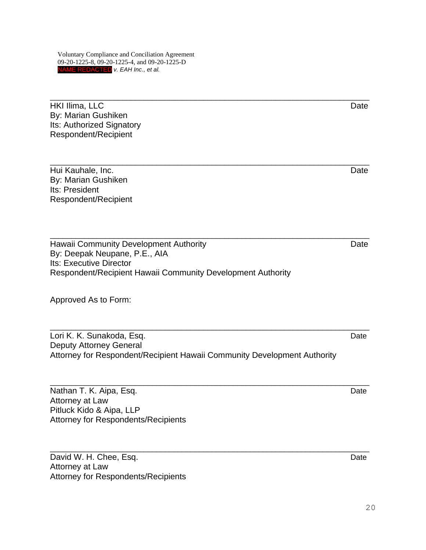\_\_\_\_\_\_\_\_\_\_\_\_\_\_\_\_\_\_\_\_\_\_\_\_\_\_\_\_\_\_\_\_\_\_\_\_\_\_\_\_\_\_\_\_\_\_\_\_\_\_\_\_\_\_\_\_\_\_\_\_\_\_\_\_\_\_\_\_\_\_\_\_\_\_\_ HKI Ilima, LLC Date By: Marian Gushiken Its: Authorized Signatory Respondent/Recipient \_\_\_\_\_\_\_\_\_\_\_\_\_\_\_\_\_\_\_\_\_\_\_\_\_\_\_\_\_\_\_\_\_\_\_\_\_\_\_\_\_\_\_\_\_\_\_\_\_\_\_\_\_\_\_\_\_\_\_\_\_\_\_\_\_\_\_\_\_\_\_\_\_\_\_ Hui Kauhale, Inc. Date By: Marian Gushiken Its: President Respondent/Recipient \_\_\_\_\_\_\_\_\_\_\_\_\_\_\_\_\_\_\_\_\_\_\_\_\_\_\_\_\_\_\_\_\_\_\_\_\_\_\_\_\_\_\_\_\_\_\_\_\_\_\_\_\_\_\_\_\_\_\_\_\_\_\_\_\_\_\_\_\_\_\_\_\_\_\_ Hawaii Community Development Authority **Date** Date By: Deepak Neupane, P.E., AIA Its: Executive Director Respondent/Recipient Hawaii Community Development Authority

Approved As to Form:

\_\_\_\_\_\_\_\_\_\_\_\_\_\_\_\_\_\_\_\_\_\_\_\_\_\_\_\_\_\_\_\_\_\_\_\_\_\_\_\_\_\_\_\_\_\_\_\_\_\_\_\_\_\_\_\_\_\_\_\_\_\_\_\_\_\_\_\_\_\_\_\_\_\_\_ Lori K. K. Sunakoda, Esq. Date Controllering and the controllering of the controllering of the controllering of the controllering of the controllering of the controllering of the controllering of the controllering of the c Deputy Attorney General Attorney for Respondent/Recipient Hawaii Community Development Authority

\_\_\_\_\_\_\_\_\_\_\_\_\_\_\_\_\_\_\_\_\_\_\_\_\_\_\_\_\_\_\_\_\_\_\_\_\_\_\_\_\_\_\_\_\_\_\_\_\_\_\_\_\_\_\_\_\_\_\_\_\_\_\_\_\_\_\_\_\_\_\_\_\_\_\_

Nathan T. K. Aipa, Esq. Date and the state of the state of the state of the state of the state of the state of the state of the state of the state of the state of the state of the state of the state of the state of the sta Attorney at Law Pitluck Kido & Aipa, LLP Attorney for Respondents/Recipients

David W. H. Chee, Esq. **Date** Date **Date** Date **Date** Date **Date** Attorney at Law Attorney for Respondents/Recipients

\_\_\_\_\_\_\_\_\_\_\_\_\_\_\_\_\_\_\_\_\_\_\_\_\_\_\_\_\_\_\_\_\_\_\_\_\_\_\_\_\_\_\_\_\_\_\_\_\_\_\_\_\_\_\_\_\_\_\_\_\_\_\_\_\_\_\_\_\_\_\_\_\_\_\_